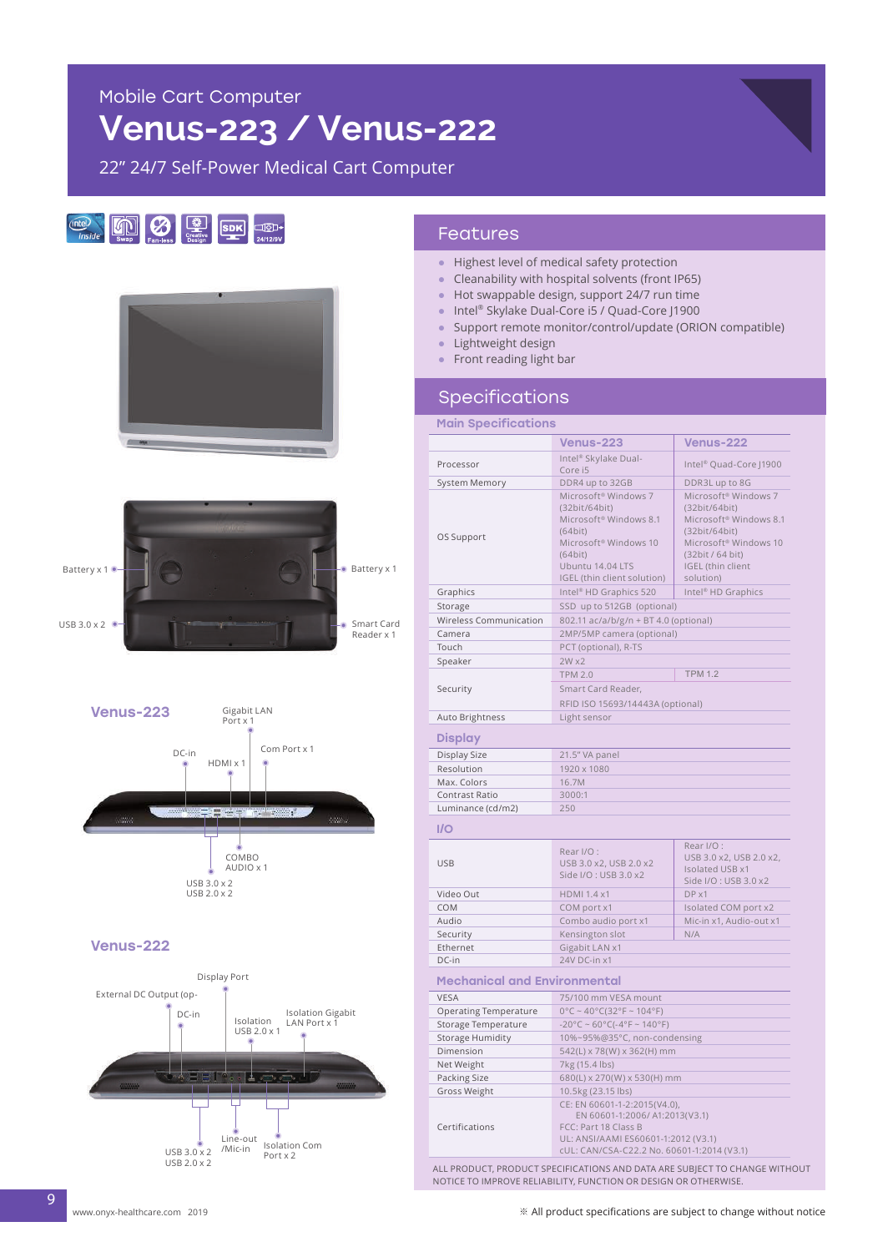# **Venus-223 / Venus-222**

22" 24/7 Self-Power Medical Cart Computer









#### Venus-222



## Features

- Highest level of medical safety protection
- Cleanability with hospital solvents (front IP65)
- Hot swappable design, support 24/7 run time
- Intel® Skylake Dual-Core i5 / Quad-Core J1900
- Support remote monitor/control/update (ORION compatible)
- Lightweight design
- Front reading light bar

### Specifications

| <b>Main Specifications</b>          |                                                                                                                                                                               |                                                                                                                                                                 |
|-------------------------------------|-------------------------------------------------------------------------------------------------------------------------------------------------------------------------------|-----------------------------------------------------------------------------------------------------------------------------------------------------------------|
|                                     | <b>Venus-223</b>                                                                                                                                                              | <b>Venus-222</b>                                                                                                                                                |
| Processor                           | Intel® Skylake Dual-<br>Core i5                                                                                                                                               | Intel <sup>®</sup> Quad-Core J1900                                                                                                                              |
| System Memory                       | DDR4 up to 32GB                                                                                                                                                               | DDR3L up to 8G                                                                                                                                                  |
| OS Support                          | Microsoft® Windows 7<br>(32bit/64bit)<br>Microsoft <sup>®</sup> Windows 8.1<br>(64bit)<br>Microsoft® Windows 10<br>(64bit)<br>Ubuntu 14.04 LTS<br>IGEL (thin client solution) | Microsoft® Windows 7<br>(32bit/64bit)<br>Microsoft® Windows 8.1<br>(32bit/64bit)<br>Microsoft® Windows 10<br>(32bit / 64 bit)<br>IGEL (thin client<br>solution) |
| Graphics                            | Intel <sup>®</sup> HD Graphics 520                                                                                                                                            | Intel <sup>®</sup> HD Graphics                                                                                                                                  |
| Storage                             | SSD up to 512GB (optional)                                                                                                                                                    |                                                                                                                                                                 |
| Wireless Communication              | 802.11 ac/a/b/g/n + BT 4.0 (optional)                                                                                                                                         |                                                                                                                                                                 |
| Camera                              | 2MP/5MP camera (optional)                                                                                                                                                     |                                                                                                                                                                 |
| Touch                               | PCT (optional), R-TS                                                                                                                                                          |                                                                                                                                                                 |
| Speaker                             | $2W \times 2$                                                                                                                                                                 |                                                                                                                                                                 |
|                                     | <b>TPM 2.0</b>                                                                                                                                                                | <b>TPM 1.2</b>                                                                                                                                                  |
| Security                            | Smart Card Reader,<br>RFID ISO 15693/14443A (optional)                                                                                                                        |                                                                                                                                                                 |
| Auto Brightness                     | Light sensor                                                                                                                                                                  |                                                                                                                                                                 |
| <b>Display</b>                      |                                                                                                                                                                               |                                                                                                                                                                 |
| Display Size                        | 21.5" VA panel                                                                                                                                                                |                                                                                                                                                                 |
| Resolution                          | 1920 x 1080                                                                                                                                                                   |                                                                                                                                                                 |
| Max. Colors                         | 16.7M                                                                                                                                                                         |                                                                                                                                                                 |
| Contrast Ratio                      | 3000:1                                                                                                                                                                        |                                                                                                                                                                 |
| Luminance (cd/m2)                   | 250                                                                                                                                                                           |                                                                                                                                                                 |
| I/O                                 |                                                                                                                                                                               |                                                                                                                                                                 |
| <b>USB</b>                          | Rear I/O:<br>USB 3.0 x2, USB 2.0 x2<br>Side I/O: USB 3.0 x2                                                                                                                   | Rear I/O:<br>USB 3.0 x2, USB 2.0 x2,<br>Isolated USB x1<br>Side I/O: USB 3.0 x2                                                                                 |
| Video Out                           | <b>HDMI 1.4 x1</b>                                                                                                                                                            | DPX1                                                                                                                                                            |
| COM                                 | COM port x1                                                                                                                                                                   | Isolated COM port x2                                                                                                                                            |
| Audio                               | Combo audio port x1                                                                                                                                                           | Mic-in x1, Audio-out x1                                                                                                                                         |
| Security                            | Kensington slot                                                                                                                                                               | N/A                                                                                                                                                             |
| Ethernet                            | Gigabit LAN x1                                                                                                                                                                |                                                                                                                                                                 |
| DC-in                               | 24V DC-in x1                                                                                                                                                                  |                                                                                                                                                                 |
| <b>Mechanical and Environmental</b> |                                                                                                                                                                               |                                                                                                                                                                 |
| <b>VESA</b>                         | 75/100 mm VESA mount                                                                                                                                                          |                                                                                                                                                                 |
| <b>Operating Temperature</b>        | $0^{\circ}$ C ~ 40°C(32°F ~ 104°F)                                                                                                                                            |                                                                                                                                                                 |
| Storage Temperature                 | $-20^{\circ}$ C ~ 60°C(-4°F ~ 140°F)                                                                                                                                          |                                                                                                                                                                 |
| <b>Storage Humidity</b>             | 10%~95%@35°C, non-condensing                                                                                                                                                  |                                                                                                                                                                 |
| Dimension                           | 542(L) x 78(W) x 362(H) mm                                                                                                                                                    |                                                                                                                                                                 |
| Net Weight                          | 7kg (15.4 lbs)                                                                                                                                                                |                                                                                                                                                                 |
| Packing Size<br>Gross Weight        | 680(L) x 270(W) x 530(H) mm<br>10.5kg (23.15 lbs)                                                                                                                             |                                                                                                                                                                 |
| Certifications                      | CE: EN 60601-1-2:2015(V4.0),<br>EN 60601-1:2006/ A1:2013(V3.1)<br>FCC: Part 18 Class B<br>UL: ANSI/AAMI ES60601-1:2012 (V3.1)                                                 |                                                                                                                                                                 |
|                                     | cUL: CAN/CSA-C22.2 No. 60601-1:2014 (V3.1)                                                                                                                                    |                                                                                                                                                                 |

ALL PRODUCT, PRODUCT SPECIFICATIONS AND DATA ARE SUBJECT TO CHANGE WITHOUT NOTICE TO IMPROVE RELIABILITY, FUNCTION OR DESIGN OR OTHERWISE.

9